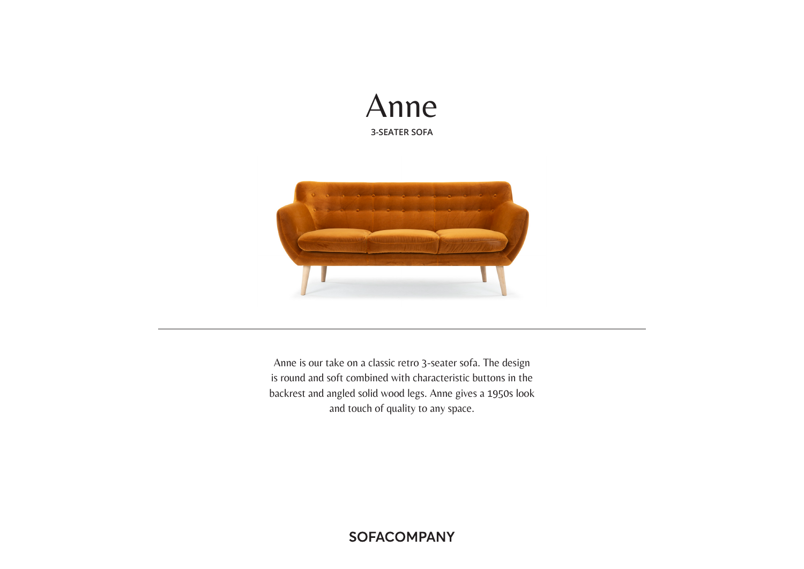



Anne is our take on a classic retro 3-seater sofa. The design is round and soft combined with characteristic buttons in the backrest and angled solid wood legs. Anne gives a 1950s look and touch of quality to any space.

**SOFACOMPANY**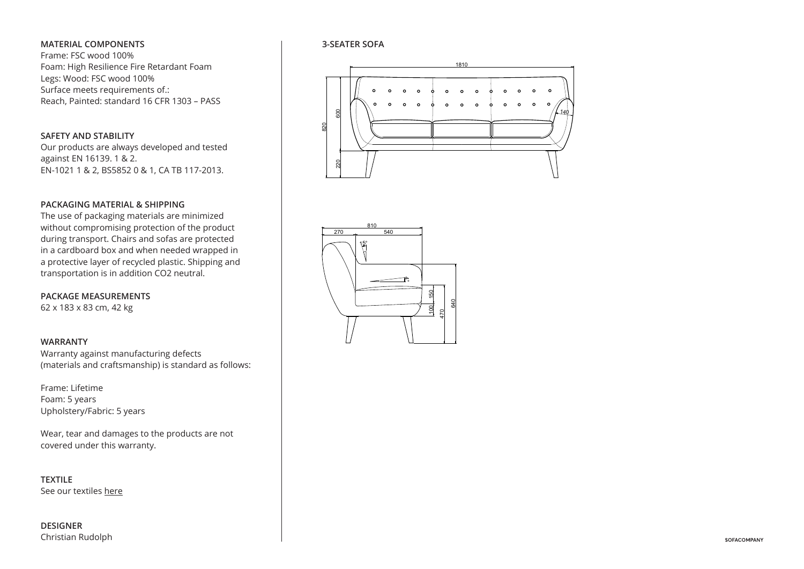## **MATERIAL COMPONENTS**

Frame: FSC wood 100% Foam: High Resilience Fire Retardant Foam Legs: Wood: FSC wood 100% Surface meets requirements of.: Reach, Painted: standard 16 CFR 1303 – PASS

### **SAFETY AND STABILITY**

Our products are always developed and tested against EN 16139. 1 & 2. EN-1021 1 & 2, BS5852 0 & 1, CA TB 117-2013.

## **PACKAGING MATERIAL & SHIPPING**

without compromising protection of the product The use of packaging materials are minimized during transport. Chairs and sofas are protected in a cardboard box and when needed wrapped in a protective layer of recycled plastic. Shipping and transportation is in addition CO2 neutral.

..<br>32<br>52 **PACKAGE MEASUREMENTS** 62 x 183 x 83 cm, 42 kg

#### **WARRANTY**

Warranty against manufacturing defects (materials and craftsmanship) is standard as follows:

Frame: Lifetime Foam: 5 years Upholstery/Fabric: 5 years

covered under this warranty. Wear, tear and damages to the products are not

See our textiles <u>here</u> **TEXTILE**

**DESIGNER** Christian Rudolph

## **3-SEATER SOFA**